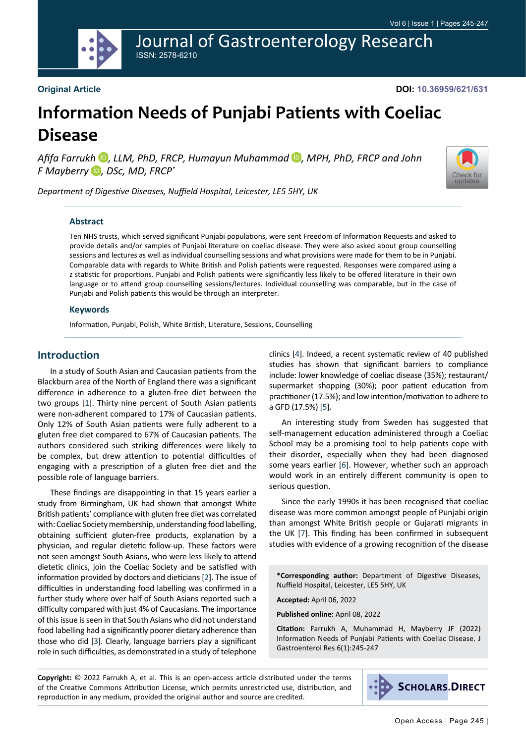Journal of Gastroenterology Research ISSN: 2578-6210

#### **Original Article**

**DOI: 10.36959/621/631**

# **Information Needs of Punjabi Patients with Coeliac Disease**

*Afifa Farrukh* [iD](https://orcid.org/0000-0003-2579-0160) *, LLM, PhD, FRCP, Humayun Muhammad* [iD](https://orcid.org/0000-0001-9670-9556) *, MPH, PhD, FRCP and John F Mayberry* [iD](https://orcid.org/0000-0002-4117-8740) *, DSc, MD, FRCP\**



*Department of Digestive Diseases, Nuffield Hospital, Leicester, LE5 5HY, UK*

#### **Abstract**

Ten NHS trusts, which served significant Punjabi populations, were sent Freedom of Information Requests and asked to provide details and/or samples of Punjabi literature on coeliac disease. They were also asked about group counselling sessions and lectures as well as individual counselling sessions and what provisions were made for them to be in Punjabi. Comparable data with regards to White British and Polish patients were requested. Responses were compared using a z statistic for proportions. Punjabi and Polish patients were significantly less likely to be offered literature in their own language or to attend group counselling sessions/lectures. Individual counselling was comparable, but in the case of Punjabi and Polish patients this would be through an interpreter.

#### **Keywords**

Information, Punjabi, Polish, White British, Literature, Sessions, Counselling

### **Introduction**

In a study of South Asian and Caucasian patients from the Blackburn area of the North of England there was a significant difference in adherence to a gluten-free diet between the two groups [[1](#page-2-0)]. Thirty nine percent of South Asian patients were non-adherent compared to 17% of Caucasian patients. Only 12% of South Asian patients were fully adherent to a gluten free diet compared to 67% of Caucasian patients. The authors considered such striking differences were likely to be complex, but drew attention to potential difficulties of engaging with a prescription of a gluten free diet and the possible role of language barriers.

These findings are disappointing in that 15 years earlier a study from Birmingham, UK had shown that amongst White British patients' compliance with gluten free diet was correlated with: Coeliac Society membership, understanding food labelling, obtaining sufficient gluten-free products, explanation by a physician, and regular dietetic follow-up. These factors were not seen amongst South Asians, who were less likely to attend dietetic clinics, join the Coeliac Society and be satisfied with information provided by doctors and dieticians [[2](#page-2-1)]. The issue of difficulties in understanding food labelling was confirmed in a further study where over half of South Asians reported such a difficulty compared with just 4% of Caucasians. The importance of this issue is seen in that South Asians who did not understand food labelling had a significantly poorer dietary adherence than those who did [[3](#page-2-2)]. Clearly, language barriers play a significant role in such difficulties, as demonstrated in a study of telephone

clinics [\[4](#page-2-3)]. Indeed, a recent systematic review of 40 published studies has shown that significant barriers to compliance include: lower knowledge of coeliac disease (35%); restaurant/ supermarket shopping (30%); poor patient education from practitioner (17.5%); and low intention/motivation to adhere to a GFD (17.5%) [\[5](#page-2-4)].

An interesting study from Sweden has suggested that self-management education administered through a Coeliac School may be a promising tool to help patients cope with their disorder, especially when they had been diagnosed some years earlier [[6\]](#page-2-5). However, whether such an approach would work in an entirely different community is open to serious question.

Since the early 1990s it has been recognised that coeliac disease was more common amongst people of Punjabi origin than amongst White British people or Gujarati migrants in the UK [\[7\]](#page-2-6). This finding has been confirmed in subsequent studies with evidence of a growing recognition of the disease

**\*Corresponding author:** Department of Digestive Diseases, Nuffield Hospital, Leicester, LE5 5HY, UK

**Accepted:** April 06, 2022

**Published online:** April 08, 2022

**Citation:** Farrukh A, Muhammad H, Mayberry JF (2022) Information Needs of Punjabi Patients with Coeliac Disease. J Gastroenterol Res 6(1):245-247

**Copyright:** © 2022 Farrukh A, et al. This is an open-access article distributed under the terms of the Creative Commons Attribution License, which permits unrestricted use, distribution, and reproduction in any medium, provided the original author and source are credited.

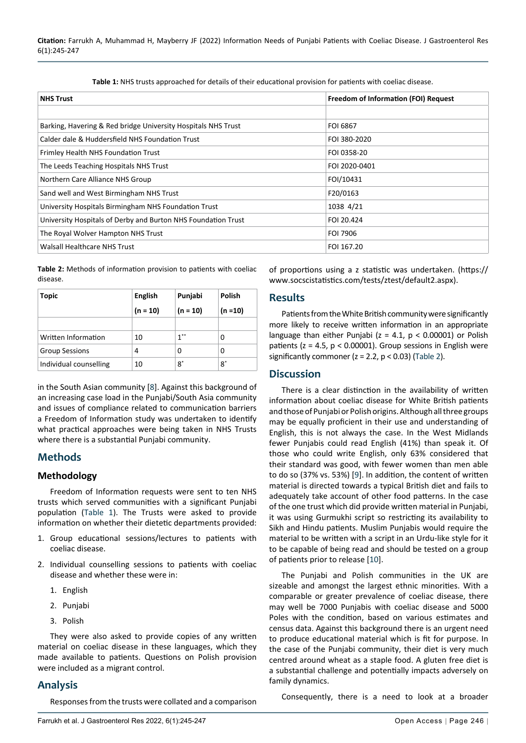| <b>NHS Trust</b>                                              | <b>Freedom of Information (FOI) Request</b> |  |
|---------------------------------------------------------------|---------------------------------------------|--|
|                                                               |                                             |  |
| Barking, Havering & Red bridge University Hospitals NHS Trust | <b>FOI 6867</b>                             |  |
| Calder dale & Huddersfield NHS Foundation Trust               | FOI 380-2020                                |  |
| Frimley Health NHS Foundation Trust                           | FOI 0358-20                                 |  |
| The Leeds Teaching Hospitals NHS Trust                        | FOI 2020-0401                               |  |
| Northern Care Alliance NHS Group                              | FOI/10431                                   |  |
| Sand well and West Birmingham NHS Trust                       | F20/0163                                    |  |
| University Hospitals Birmingham NHS Foundation Trust          | 1038 4/21                                   |  |
| University Hospitals of Derby and Burton NHS Foundation Trust | FOI 20.424                                  |  |
| The Royal Wolver Hampton NHS Trust                            | <b>FOI 7906</b>                             |  |
| Walsall Healthcare NHS Trust                                  | FOI 167.20                                  |  |

<span id="page-1-1"></span>**Table 1:** NHS trusts approached for details of their educational provision for patients with coeliac disease.

<span id="page-1-0"></span>**Table 2:** Methods of information provision to patients with coeliac disease.

| Topic                  | English    | Punjabi    | <b>Polish</b> |
|------------------------|------------|------------|---------------|
|                        | $(n = 10)$ | $(n = 10)$ | $(n=10)$      |
|                        |            |            |               |
| Written Information    | 10         | $1***$     | 0             |
| <b>Group Sessions</b>  | 4          | 0          | 0             |
| Individual counselling | 10         | 8*         | 8*            |

in the South Asian community [[8](#page-2-9)]. Against this background of an increasing case load in the Punjabi/South Asia community and issues of compliance related to communication barriers a Freedom of Information study was undertaken to identify what practical approaches were being taken in NHS Trusts where there is a substantial Punjabi community.

# **Methods**

#### **Methodology**

Freedom of Information requests were sent to ten NHS trusts which served communities with a significant Punjabi population [\(Table 1](#page-1-1)). The Trusts were asked to provide information on whether their dietetic departments provided:

- 1. Group educational sessions/lectures to patients with coeliac disease.
- 2. Individual counselling sessions to patients with coeliac disease and whether these were in:
	- 1. English
	- 2. Punjabi
	- 3. Polish

They were also asked to provide copies of any written material on coeliac disease in these languages, which they made available to patients. Questions on Polish provision were included as a migrant control.

# **Analysis**

Responses from the trusts were collated and a comparison

of proportions using a z statistic was undertaken. ([https://](https://www.socscistatistics.com/tests/ztest/default2.aspx) [www.socscistatistics.com/tests/ztest/default2.aspx](https://www.socscistatistics.com/tests/ztest/default2.aspx)).

#### **Results**

Patients from the White British community were significantly more likely to receive written information in an appropriate language than either Punjabi ( $z = 4.1$ ,  $p < 0.00001$ ) or Polish patients ( $z = 4.5$ ,  $p < 0.00001$ ). Group sessions in English were significantly commoner ( $z = 2.2$ ,  $p < 0.03$ ) [\(Table 2\)](#page-1-0).

#### **Discussion**

There is a clear distinction in the availability of written information about coeliac disease for White British patients and those of Punjabi or Polish origins. Although all three groups may be equally proficient in their use and understanding of English, this is not always the case. In the West Midlands fewer Punjabis could read English (41%) than speak it. Of those who could write English, only 63% considered that their standard was good, with fewer women than men able to do so (37% vs. 53%) [\[9](#page-2-7)]. In addition, the content of written material is directed towards a typical British diet and fails to adequately take account of other food patterns. In the case of the one trust which did provide written material in Punjabi, it was using Gurmukhi script so restricting its availability to Sikh and Hindu patients. Muslim Punjabis would require the material to be written with a script in an Urdu-like style for it to be capable of being read and should be tested on a group of patients prior to release [[10](#page-2-8)].

The Punjabi and Polish communities in the UK are sizeable and amongst the largest ethnic minorities. With a comparable or greater prevalence of coeliac disease, there may well be 7000 Punjabis with coeliac disease and 5000 Poles with the condition, based on various estimates and census data. Against this background there is an urgent need to produce educational material which is fit for purpose. In the case of the Punjabi community, their diet is very much centred around wheat as a staple food. A gluten free diet is a substantial challenge and potentially impacts adversely on family dynamics.

Consequently, there is a need to look at a broader